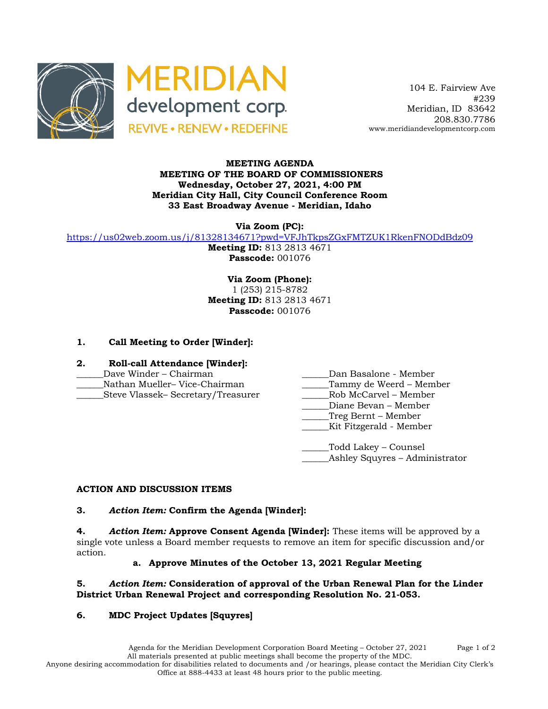



 104 E. Fairview Ave #239 Meridian, ID 83642 208.830.7786 www.meridiandevelopmentcorp.com

#### **MEETING AGENDA MEETING OF THE BOARD OF COMMISSIONERS Wednesday, October 27, 2021, 4:00 PM Meridian City Hall, City Council Conference Room 33 East Broadway Avenue - Meridian, Idaho**

**Via Zoom (PC):**

https://us02web.zoom.us/j/81328134671?pwd=VFJhTkpsZGxFMTZUK1RkenFNODdBdz09

**Meeting ID:** 813 2813 4671 **Passcode:** 001076

**Via Zoom (Phone):** 1 (253) 215-8782 **Meeting ID:** 813 2813 4671 **Passcode:** 001076

# **1. Call Meeting to Order [Winder]:**

- **2. Roll-call Attendance [Winder]:**
- 
- 
- \_\_\_\_\_\_Steve Vlassek– Secretary/Treasurer \_\_\_\_\_\_Rob McCarvel Member
- \_\_\_\_\_\_Dave Winder Chairman \_\_\_\_\_\_Dan Basalone Member
- Nathan Mueller– Vice-Chairman **Tammy de Weerd Member** 
	-
	- \_\_\_\_\_\_Diane Bevan Member
	- \_\_\_\_\_\_Treg Bernt Member
	- \_\_\_\_\_\_Kit Fitzgerald Member

\_\_\_\_\_\_Todd Lakey – Counsel Ashley Squyres – Administrator

### **ACTION AND DISCUSSION ITEMS**

### **3.** *Action Item:* **Confirm the Agenda [Winder]:**

**4.** *Action Item:* **Approve Consent Agenda [Winder]:** These items will be approved by a single vote unless a Board member requests to remove an item for specific discussion and/or action.

### **a. Approve Minutes of the October 13, 2021 Regular Meeting**

### **5.** *Action Item:* **Consideration of approval of the Urban Renewal Plan for the Linder District Urban Renewal Project and corresponding Resolution No. 21-053.**

# **6. MDC Project Updates [Squyres]**